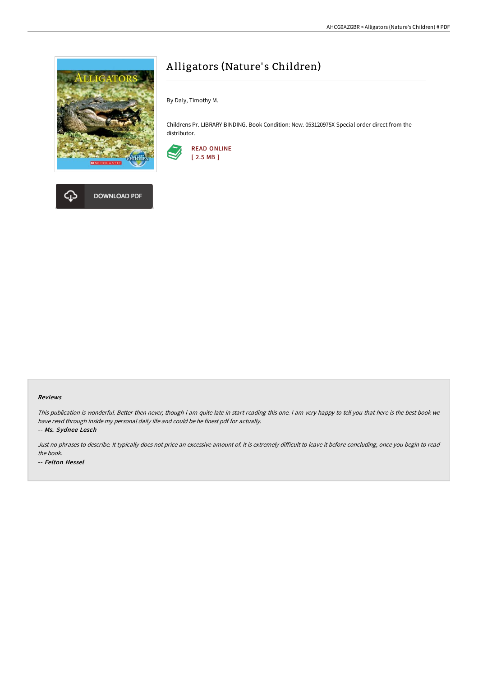

**DOWNLOAD PDF** 



By Daly, Timothy M.

Childrens Pr. LIBRARY BINDING. Book Condition: New. 053120975X Special order direct from the distributor.





This publication is wonderful. Better then never, though i am quite late in start reading this one. <sup>I</sup> am very happy to tell you that here is the best book we have read through inside my personal daily life and could be he finest pdf for actually.

-- Ms. Sydnee Lesch

Just no phrases to describe. It typically does not price an excessive amount of. It is extremely difficult to leave it before concluding, once you begin to read the book. -- Felton Hessel